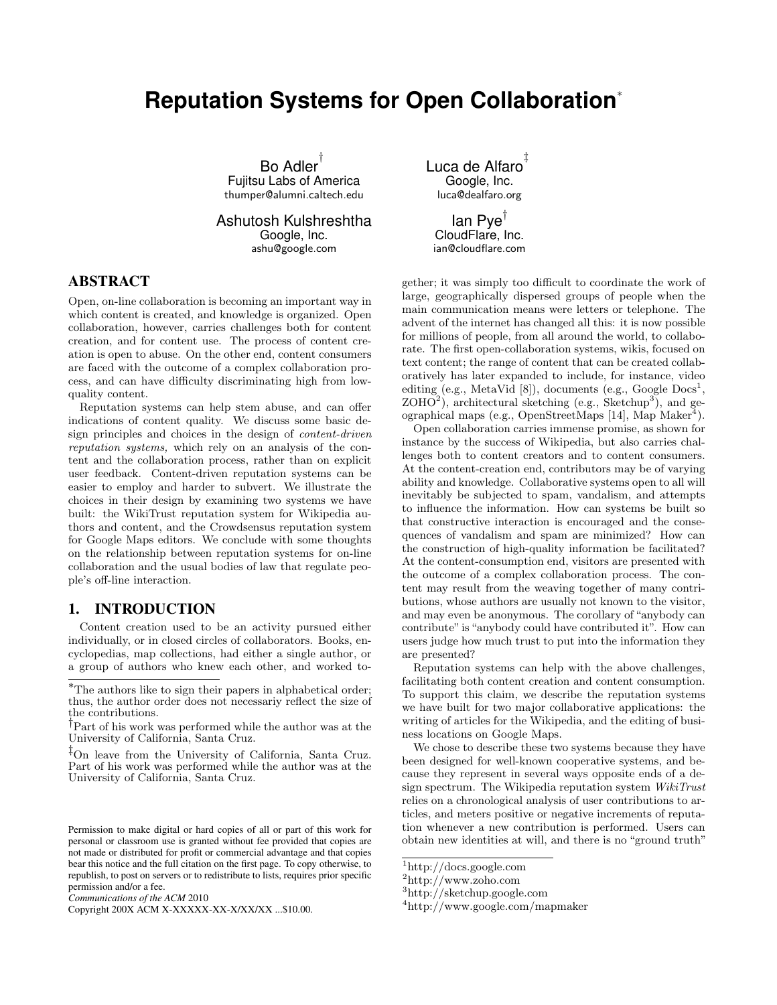# **Reputation Systems for Open Collaboration**<sup>∗</sup>

Bo Adler † Fujitsu Labs of America thumper@alumni.caltech.edu

Ashutosh Kulshreshtha Google, Inc. ashu@google.com

### ABSTRACT

Open, on-line collaboration is becoming an important way in which content is created, and knowledge is organized. Open collaboration, however, carries challenges both for content creation, and for content use. The process of content creation is open to abuse. On the other end, content consumers are faced with the outcome of a complex collaboration process, and can have difficulty discriminating high from lowquality content.

Reputation systems can help stem abuse, and can offer indications of content quality. We discuss some basic design principles and choices in the design of content-driven reputation systems, which rely on an analysis of the content and the collaboration process, rather than on explicit user feedback. Content-driven reputation systems can be easier to employ and harder to subvert. We illustrate the choices in their design by examining two systems we have built: the WikiTrust reputation system for Wikipedia authors and content, and the Crowdsensus reputation system for Google Maps editors. We conclude with some thoughts on the relationship between reputation systems for on-line collaboration and the usual bodies of law that regulate people's off-line interaction.

#### 1. INTRODUCTION

Content creation used to be an activity pursued either individually, or in closed circles of collaborators. Books, encyclopedias, map collections, had either a single author, or a group of authors who knew each other, and worked toLuca de Alfaro ‡ Google, Inc. luca@dealfaro.org

lan Pye<sup>†</sup> CloudFlare, Inc. ian@cloudflare.com

gether; it was simply too difficult to coordinate the work of large, geographically dispersed groups of people when the main communication means were letters or telephone. The advent of the internet has changed all this: it is now possible for millions of people, from all around the world, to collaborate. The first open-collaboration systems, wikis, focused on text content; the range of content that can be created collaboratively has later expanded to include, for instance, video editing  $(e.g., MetaVid [8]),$  documents  $(e.g., Google Does<sup>1</sup>,$  $ZOHO<sup>2</sup>$ ), architectural sketching (e.g., Sketchup<sup>3</sup>), and geographical maps (e.g., OpenStreetMaps [14], Map Maker<sup>4</sup>).

Open collaboration carries immense promise, as shown for instance by the success of Wikipedia, but also carries challenges both to content creators and to content consumers. At the content-creation end, contributors may be of varying ability and knowledge. Collaborative systems open to all will inevitably be subjected to spam, vandalism, and attempts to influence the information. How can systems be built so that constructive interaction is encouraged and the consequences of vandalism and spam are minimized? How can the construction of high-quality information be facilitated? At the content-consumption end, visitors are presented with the outcome of a complex collaboration process. The content may result from the weaving together of many contributions, whose authors are usually not known to the visitor, and may even be anonymous. The corollary of "anybody can contribute" is "anybody could have contributed it". How can users judge how much trust to put into the information they are presented?

Reputation systems can help with the above challenges, facilitating both content creation and content consumption. To support this claim, we describe the reputation systems we have built for two major collaborative applications: the writing of articles for the Wikipedia, and the editing of business locations on Google Maps.

We chose to describe these two systems because they have been designed for well-known cooperative systems, and because they represent in several ways opposite ends of a design spectrum. The Wikipedia reputation system WikiTrust relies on a chronological analysis of user contributions to articles, and meters positive or negative increments of reputation whenever a new contribution is performed. Users can obtain new identities at will, and there is no "ground truth"

<sup>∗</sup>The authors like to sign their papers in alphabetical order; thus, the author order does not necessariy reflect the size of the contributions.

<sup>†</sup>Part of his work was performed while the author was at the University of California, Santa Cruz.

<sup>‡</sup>On leave from the University of California, Santa Cruz. Part of his work was performed while the author was at the University of California, Santa Cruz.

Permission to make digital or hard copies of all or part of this work for personal or classroom use is granted without fee provided that copies are not made or distributed for profit or commercial advantage and that copies bear this notice and the full citation on the first page. To copy otherwise, to republish, to post on servers or to redistribute to lists, requires prior specific permission and/or a fee.

*Communications of the ACM* 2010

Copyright 200X ACM X-XXXXX-XX-X/XX/XX ...\$10.00.

 $^{\rm 1}$ http://docs.google.com

 $^{2}$ http://www.zoho.com

<sup>3</sup>http://sketchup.google.com

<sup>4</sup>http://www.google.com/mapmaker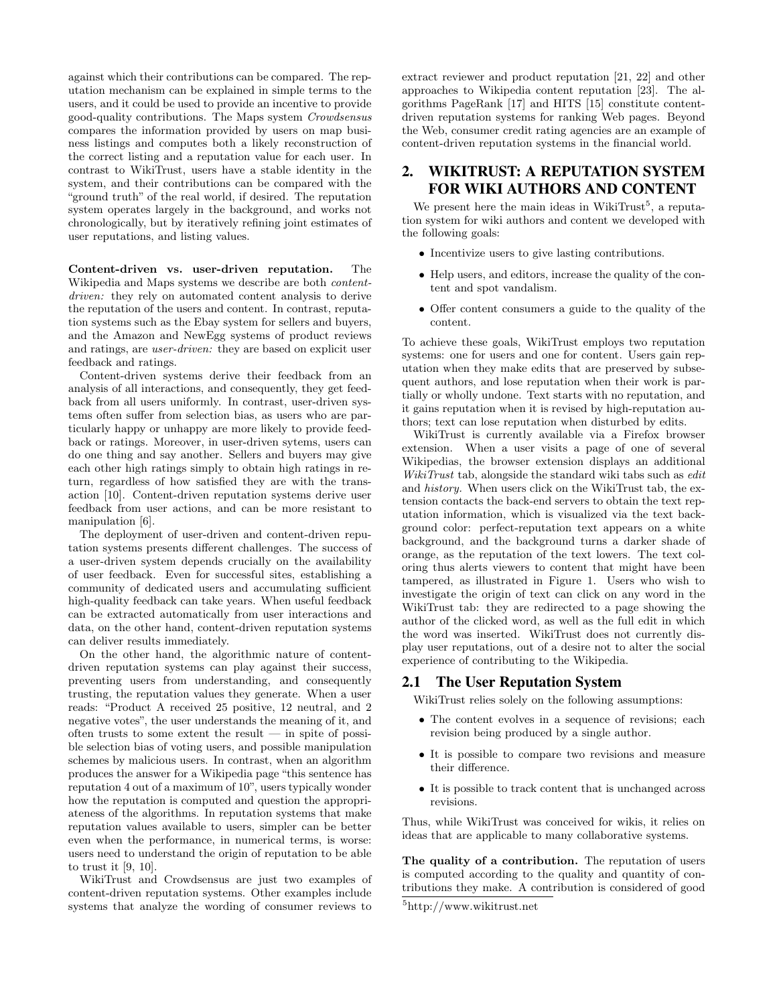against which their contributions can be compared. The reputation mechanism can be explained in simple terms to the users, and it could be used to provide an incentive to provide good-quality contributions. The Maps system Crowdsensus compares the information provided by users on map business listings and computes both a likely reconstruction of the correct listing and a reputation value for each user. In contrast to WikiTrust, users have a stable identity in the system, and their contributions can be compared with the "ground truth" of the real world, if desired. The reputation system operates largely in the background, and works not chronologically, but by iteratively refining joint estimates of user reputations, and listing values.

Content-driven vs. user-driven reputation. The Wikipedia and Maps systems we describe are both contentdriven: they rely on automated content analysis to derive the reputation of the users and content. In contrast, reputation systems such as the Ebay system for sellers and buyers, and the Amazon and NewEgg systems of product reviews and ratings, are user-driven: they are based on explicit user feedback and ratings.

Content-driven systems derive their feedback from an analysis of all interactions, and consequently, they get feedback from all users uniformly. In contrast, user-driven systems often suffer from selection bias, as users who are particularly happy or unhappy are more likely to provide feedback or ratings. Moreover, in user-driven sytems, users can do one thing and say another. Sellers and buyers may give each other high ratings simply to obtain high ratings in return, regardless of how satisfied they are with the transaction [10]. Content-driven reputation systems derive user feedback from user actions, and can be more resistant to manipulation [6].

The deployment of user-driven and content-driven reputation systems presents different challenges. The success of a user-driven system depends crucially on the availability of user feedback. Even for successful sites, establishing a community of dedicated users and accumulating sufficient high-quality feedback can take years. When useful feedback can be extracted automatically from user interactions and data, on the other hand, content-driven reputation systems can deliver results immediately.

On the other hand, the algorithmic nature of contentdriven reputation systems can play against their success, preventing users from understanding, and consequently trusting, the reputation values they generate. When a user reads: "Product A received 25 positive, 12 neutral, and 2 negative votes", the user understands the meaning of it, and often trusts to some extent the result  $-$  in spite of possible selection bias of voting users, and possible manipulation schemes by malicious users. In contrast, when an algorithm produces the answer for a Wikipedia page "this sentence has reputation 4 out of a maximum of 10", users typically wonder how the reputation is computed and question the appropriateness of the algorithms. In reputation systems that make reputation values available to users, simpler can be better even when the performance, in numerical terms, is worse: users need to understand the origin of reputation to be able to trust it [9, 10].

WikiTrust and Crowdsensus are just two examples of content-driven reputation systems. Other examples include systems that analyze the wording of consumer reviews to extract reviewer and product reputation [21, 22] and other approaches to Wikipedia content reputation [23]. The algorithms PageRank [17] and HITS [15] constitute contentdriven reputation systems for ranking Web pages. Beyond the Web, consumer credit rating agencies are an example of content-driven reputation systems in the financial world.

# 2. WIKITRUST: A REPUTATION SYSTEM FOR WIKI AUTHORS AND CONTENT

We present here the main ideas in WikiTrust<sup>5</sup>, a reputation system for wiki authors and content we developed with the following goals:

- Incentivize users to give lasting contributions.
- Help users, and editors, increase the quality of the content and spot vandalism.
- Offer content consumers a guide to the quality of the content.

To achieve these goals, WikiTrust employs two reputation systems: one for users and one for content. Users gain reputation when they make edits that are preserved by subsequent authors, and lose reputation when their work is partially or wholly undone. Text starts with no reputation, and it gains reputation when it is revised by high-reputation authors; text can lose reputation when disturbed by edits.

WikiTrust is currently available via a Firefox browser extension. When a user visits a page of one of several Wikipedias, the browser extension displays an additional WikiTrust tab, alongside the standard wiki tabs such as *edit* and history. When users click on the WikiTrust tab, the extension contacts the back-end servers to obtain the text reputation information, which is visualized via the text background color: perfect-reputation text appears on a white background, and the background turns a darker shade of orange, as the reputation of the text lowers. The text coloring thus alerts viewers to content that might have been tampered, as illustrated in Figure 1. Users who wish to investigate the origin of text can click on any word in the WikiTrust tab: they are redirected to a page showing the author of the clicked word, as well as the full edit in which the word was inserted. WikiTrust does not currently display user reputations, out of a desire not to alter the social experience of contributing to the Wikipedia.

#### 2.1 The User Reputation System

WikiTrust relies solely on the following assumptions:

- The content evolves in a sequence of revisions; each revision being produced by a single author.
- It is possible to compare two revisions and measure their difference.
- It is possible to track content that is unchanged across revisions.

Thus, while WikiTrust was conceived for wikis, it relies on ideas that are applicable to many collaborative systems.

The quality of a contribution. The reputation of users is computed according to the quality and quantity of contributions they make. A contribution is considered of good

<sup>5</sup>http://www.wikitrust.net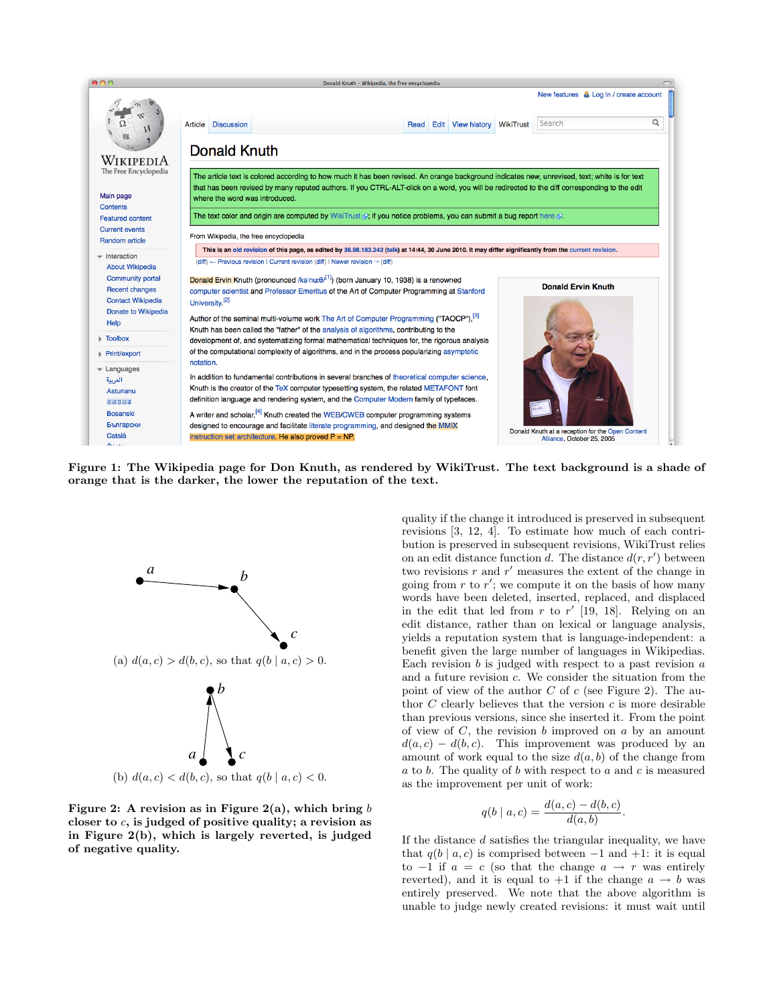

Figure 1: The Wikipedia page for Don Knuth, as rendered by WikiTrust. The text background is a shade of orange that is the darker, the lower the reputation of the text.



Figure 2: A revision as in Figure 2(a), which bring  $b$ closer to  $c$ , is judged of positive quality; a revision as in Figure 2(b), which is largely reverted, is judged of negative quality.

quality if the change it introduced is preserved in subsequent revisions [3, 12, 4]. To estimate how much of each contribution is preserved in subsequent revisions, WikiTrust relies on an edit distance function d. The distance  $d(r, r')$  between two revisions  $r$  and  $r'$  measures the extent of the change in going from  $r$  to  $r'$ ; we compute it on the basis of how many words have been deleted, inserted, replaced, and displaced in the edit that led from  $r$  to  $r'$  [19, 18]. Relying on an edit distance, rather than on lexical or language analysis, yields a reputation system that is language-independent: a benefit given the large number of languages in Wikipedias. Each revision  $b$  is judged with respect to a past revision  $a$ and a future revision c. We consider the situation from the point of view of the author  $C$  of  $c$  (see Figure 2). The author  $C$  clearly believes that the version  $c$  is more desirable than previous versions, since she inserted it. From the point of view of  $C$ , the revision  $b$  improved on  $a$  by an amount  $d(a, c) - d(b, c)$ . This improvement was produced by an amount of work equal to the size  $d(a, b)$  of the change from  $a$  to  $b$ . The quality of  $b$  with respect to  $a$  and  $c$  is measured as the improvement per unit of work:

$$
q(b \mid a, c) = \frac{d(a, c) - d(b, c)}{d(a, b)}.
$$

If the distance d satisfies the triangular inequality, we have that  $q(b \mid a, c)$  is comprised between  $-1$  and  $+1$ : it is equal to  $-1$  if  $a = c$  (so that the change  $a \rightarrow r$  was entirely reverted), and it is equal to  $+1$  if the change  $a \rightarrow b$  was entirely preserved. We note that the above algorithm is unable to judge newly created revisions: it must wait until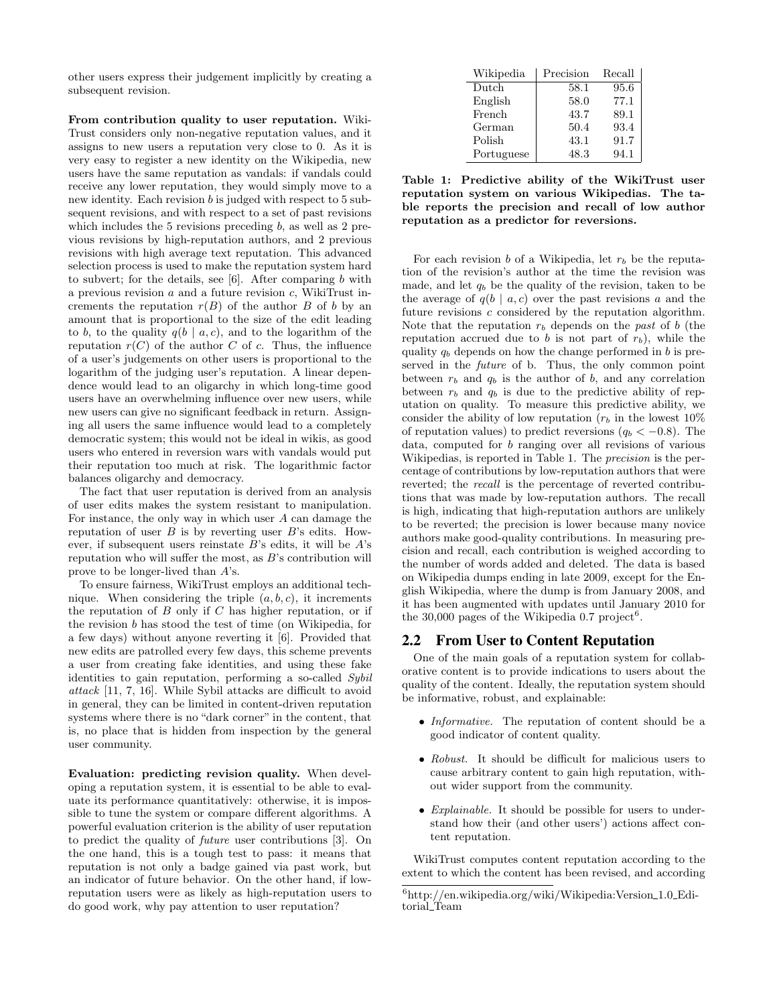other users express their judgement implicitly by creating a subsequent revision.

From contribution quality to user reputation. Wiki-Trust considers only non-negative reputation values, and it assigns to new users a reputation very close to 0. As it is very easy to register a new identity on the Wikipedia, new users have the same reputation as vandals: if vandals could receive any lower reputation, they would simply move to a new identity. Each revision  $b$  is judged with respect to  $5$  subsequent revisions, and with respect to a set of past revisions which includes the 5 revisions preceding  $b$ , as well as 2 previous revisions by high-reputation authors, and 2 previous revisions with high average text reputation. This advanced selection process is used to make the reputation system hard to subvert; for the details, see  $[6]$ . After comparing  $b$  with a previous revision  $a$  and a future revision  $c$ , WikiTrust increments the reputation  $r(B)$  of the author B of b by an amount that is proportional to the size of the edit leading to b, to the quality  $q(b \mid a, c)$ , and to the logarithm of the reputation  $r(C)$  of the author C of c. Thus, the influence of a user's judgements on other users is proportional to the logarithm of the judging user's reputation. A linear dependence would lead to an oligarchy in which long-time good users have an overwhelming influence over new users, while new users can give no significant feedback in return. Assigning all users the same influence would lead to a completely democratic system; this would not be ideal in wikis, as good users who entered in reversion wars with vandals would put their reputation too much at risk. The logarithmic factor balances oligarchy and democracy.

The fact that user reputation is derived from an analysis of user edits makes the system resistant to manipulation. For instance, the only way in which user  $A$  can damage the reputation of user  $B$  is by reverting user  $B$ 's edits. However, if subsequent users reinstate  $B$ 's edits, it will be  $A$ 's reputation who will suffer the most, as  $B$ 's contribution will prove to be longer-lived than A's.

To ensure fairness, WikiTrust employs an additional technique. When considering the triple  $(a, b, c)$ , it increments the reputation of  $B$  only if  $C$  has higher reputation, or if the revision b has stood the test of time (on Wikipedia, for a few days) without anyone reverting it [6]. Provided that new edits are patrolled every few days, this scheme prevents a user from creating fake identities, and using these fake identities to gain reputation, performing a so-called Sybil attack [11, 7, 16]. While Sybil attacks are difficult to avoid in general, they can be limited in content-driven reputation systems where there is no "dark corner" in the content, that is, no place that is hidden from inspection by the general user community.

Evaluation: predicting revision quality. When developing a reputation system, it is essential to be able to evaluate its performance quantitatively: otherwise, it is impossible to tune the system or compare different algorithms. A powerful evaluation criterion is the ability of user reputation to predict the quality of future user contributions [3]. On the one hand, this is a tough test to pass: it means that reputation is not only a badge gained via past work, but an indicator of future behavior. On the other hand, if lowreputation users were as likely as high-reputation users to do good work, why pay attention to user reputation?

| Wikipedia  | Precision | Recall |
|------------|-----------|--------|
| Dutch      | 58.1      | 95.6   |
| English    | 58.0      | 77.1   |
| French     | 43.7      | 89.1   |
| German     | 50.4      | 93.4   |
| Polish     | 43.1      | 91.7   |
| Portuguese | 48.3      | 94.1   |

Table 1: Predictive ability of the WikiTrust user reputation system on various Wikipedias. The table reports the precision and recall of low author reputation as a predictor for reversions.

For each revision  $b$  of a Wikipedia, let  $r_b$  be the reputation of the revision's author at the time the revision was made, and let  $q_b$  be the quality of the revision, taken to be the average of  $q(b \mid a, c)$  over the past revisions a and the future revisions c considered by the reputation algorithm. Note that the reputation  $r_b$  depends on the past of b (the reputation accrued due to b is not part of  $r<sub>b</sub>$ ), while the quality  $q_b$  depends on how the change performed in b is preserved in the future of b. Thus, the only common point between  $r_b$  and  $q_b$  is the author of b, and any correlation between  $r_b$  and  $q_b$  is due to the predictive ability of reputation on quality. To measure this predictive ability, we consider the ability of low reputation  $(r_b$  in the lowest 10% of reputation values) to predict reversions  $(q_b < -0.8)$ . The data, computed for b ranging over all revisions of various Wikipedias, is reported in Table 1. The precision is the percentage of contributions by low-reputation authors that were reverted; the recall is the percentage of reverted contributions that was made by low-reputation authors. The recall is high, indicating that high-reputation authors are unlikely to be reverted; the precision is lower because many novice authors make good-quality contributions. In measuring precision and recall, each contribution is weighed according to the number of words added and deleted. The data is based on Wikipedia dumps ending in late 2009, except for the English Wikipedia, where the dump is from January 2008, and it has been augmented with updates until January 2010 for the  $30,000$  pages of the Wikipedia 0.7 project<sup>6</sup>.

#### 2.2 From User to Content Reputation

One of the main goals of a reputation system for collaborative content is to provide indications to users about the quality of the content. Ideally, the reputation system should be informative, robust, and explainable:

- Informative. The reputation of content should be a good indicator of content quality.
- Robust. It should be difficult for malicious users to cause arbitrary content to gain high reputation, without wider support from the community.
- Explainable. It should be possible for users to understand how their (and other users') actions affect content reputation.

WikiTrust computes content reputation according to the extent to which the content has been revised, and according

 $6$ http://en.wikipedia.org/wiki/Wikipedia:Version\_1.0\_Editorial Team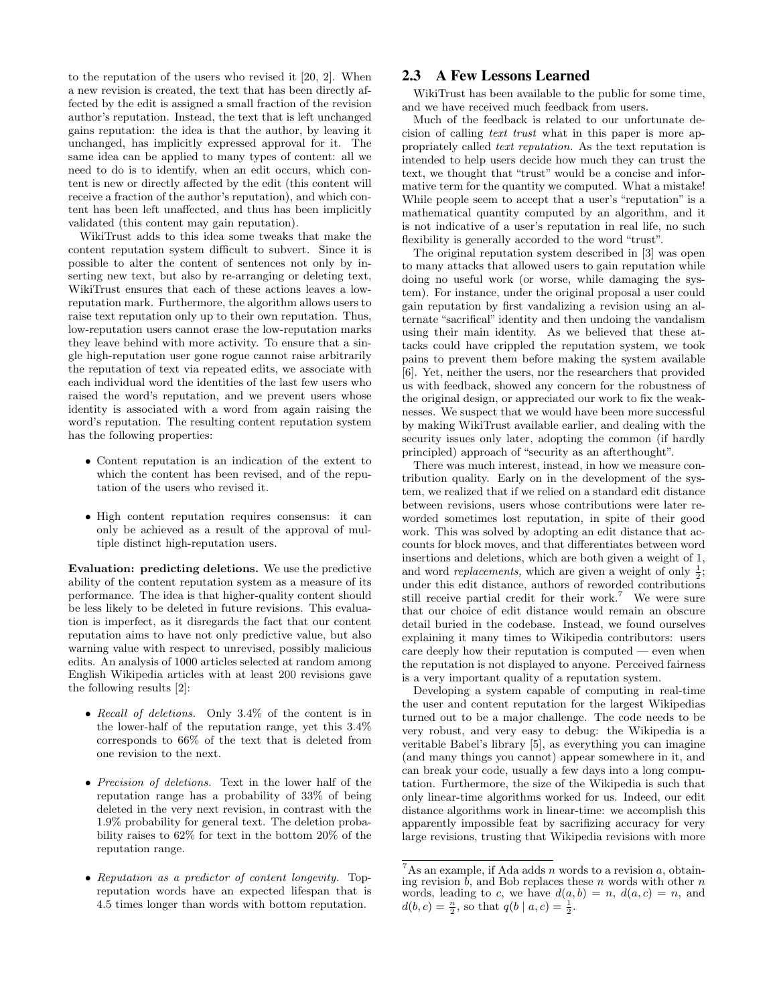to the reputation of the users who revised it [20, 2]. When a new revision is created, the text that has been directly affected by the edit is assigned a small fraction of the revision author's reputation. Instead, the text that is left unchanged gains reputation: the idea is that the author, by leaving it unchanged, has implicitly expressed approval for it. The same idea can be applied to many types of content: all we need to do is to identify, when an edit occurs, which content is new or directly affected by the edit (this content will receive a fraction of the author's reputation), and which content has been left unaffected, and thus has been implicitly validated (this content may gain reputation).

WikiTrust adds to this idea some tweaks that make the content reputation system difficult to subvert. Since it is possible to alter the content of sentences not only by inserting new text, but also by re-arranging or deleting text, WikiTrust ensures that each of these actions leaves a lowreputation mark. Furthermore, the algorithm allows users to raise text reputation only up to their own reputation. Thus, low-reputation users cannot erase the low-reputation marks they leave behind with more activity. To ensure that a single high-reputation user gone rogue cannot raise arbitrarily the reputation of text via repeated edits, we associate with each individual word the identities of the last few users who raised the word's reputation, and we prevent users whose identity is associated with a word from again raising the word's reputation. The resulting content reputation system has the following properties:

- Content reputation is an indication of the extent to which the content has been revised, and of the reputation of the users who revised it.
- High content reputation requires consensus: it can only be achieved as a result of the approval of multiple distinct high-reputation users.

Evaluation: predicting deletions. We use the predictive ability of the content reputation system as a measure of its performance. The idea is that higher-quality content should be less likely to be deleted in future revisions. This evaluation is imperfect, as it disregards the fact that our content reputation aims to have not only predictive value, but also warning value with respect to unrevised, possibly malicious edits. An analysis of 1000 articles selected at random among English Wikipedia articles with at least 200 revisions gave the following results [2]:

- Recall of deletions. Only 3.4% of the content is in the lower-half of the reputation range, yet this 3.4% corresponds to 66% of the text that is deleted from one revision to the next.
- Precision of deletions. Text in the lower half of the reputation range has a probability of 33% of being deleted in the very next revision, in contrast with the 1.9% probability for general text. The deletion probability raises to 62% for text in the bottom 20% of the reputation range.
- Reputation as a predictor of content longevity. Topreputation words have an expected lifespan that is 4.5 times longer than words with bottom reputation.

#### 2.3 A Few Lessons Learned

WikiTrust has been available to the public for some time, and we have received much feedback from users.

Much of the feedback is related to our unfortunate decision of calling text trust what in this paper is more appropriately called text reputation. As the text reputation is intended to help users decide how much they can trust the text, we thought that "trust" would be a concise and informative term for the quantity we computed. What a mistake! While people seem to accept that a user's "reputation" is a mathematical quantity computed by an algorithm, and it is not indicative of a user's reputation in real life, no such flexibility is generally accorded to the word "trust".

The original reputation system described in [3] was open to many attacks that allowed users to gain reputation while doing no useful work (or worse, while damaging the system). For instance, under the original proposal a user could gain reputation by first vandalizing a revision using an alternate "sacrifical" identity and then undoing the vandalism using their main identity. As we believed that these attacks could have crippled the reputation system, we took pains to prevent them before making the system available [6]. Yet, neither the users, nor the researchers that provided us with feedback, showed any concern for the robustness of the original design, or appreciated our work to fix the weaknesses. We suspect that we would have been more successful by making WikiTrust available earlier, and dealing with the security issues only later, adopting the common (if hardly principled) approach of "security as an afterthought".

There was much interest, instead, in how we measure contribution quality. Early on in the development of the system, we realized that if we relied on a standard edit distance between revisions, users whose contributions were later reworded sometimes lost reputation, in spite of their good work. This was solved by adopting an edit distance that accounts for block moves, and that differentiates between word insertions and deletions, which are both given a weight of 1, and word *replacements*, which are given a weight of only  $\frac{1}{2}$ ; under this edit distance, authors of reworded contributions still receive partial credit for their work.<sup>7</sup> We were sure that our choice of edit distance would remain an obscure detail buried in the codebase. Instead, we found ourselves explaining it many times to Wikipedia contributors: users care deeply how their reputation is computed — even when the reputation is not displayed to anyone. Perceived fairness is a very important quality of a reputation system.

Developing a system capable of computing in real-time the user and content reputation for the largest Wikipedias turned out to be a major challenge. The code needs to be very robust, and very easy to debug: the Wikipedia is a veritable Babel's library [5], as everything you can imagine (and many things you cannot) appear somewhere in it, and can break your code, usually a few days into a long computation. Furthermore, the size of the Wikipedia is such that only linear-time algorithms worked for us. Indeed, our edit distance algorithms work in linear-time: we accomplish this apparently impossible feat by sacrifizing accuracy for very large revisions, trusting that Wikipedia revisions with more

 $7$ As an example, if Ada adds n words to a revision a, obtaining revision  $\bar{b}$ , and Bob replaces these n words with other n words, leading to c, we have  $d(a, b) = n$ ,  $d(a, c) = n$ , and  $d(b, c) = \frac{n}{2}$ , so that  $q(b | a, c) = \frac{1}{2}$ .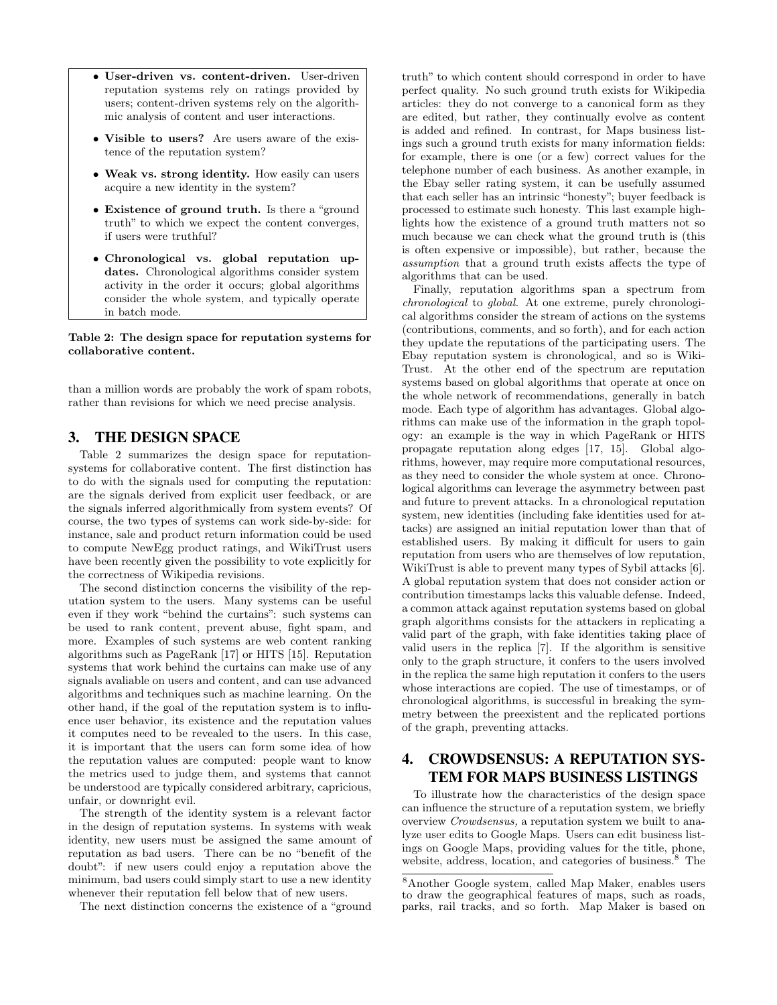- User-driven vs. content-driven. User-driven reputation systems rely on ratings provided by users; content-driven systems rely on the algorithmic analysis of content and user interactions.
- Visible to users? Are users aware of the existence of the reputation system?
- Weak vs. strong identity. How easily can users acquire a new identity in the system?
- Existence of ground truth. Is there a "ground truth" to which we expect the content converges, if users were truthful?
- Chronological vs. global reputation updates. Chronological algorithms consider system activity in the order it occurs; global algorithms consider the whole system, and typically operate in batch mode.

Table 2: The design space for reputation systems for collaborative content.

than a million words are probably the work of spam robots, rather than revisions for which we need precise analysis.

#### 3. THE DESIGN SPACE

Table 2 summarizes the design space for reputationsystems for collaborative content. The first distinction has to do with the signals used for computing the reputation: are the signals derived from explicit user feedback, or are the signals inferred algorithmically from system events? Of course, the two types of systems can work side-by-side: for instance, sale and product return information could be used to compute NewEgg product ratings, and WikiTrust users have been recently given the possibility to vote explicitly for the correctness of Wikipedia revisions.

The second distinction concerns the visibility of the reputation system to the users. Many systems can be useful even if they work "behind the curtains": such systems can be used to rank content, prevent abuse, fight spam, and more. Examples of such systems are web content ranking algorithms such as PageRank [17] or HITS [15]. Reputation systems that work behind the curtains can make use of any signals avaliable on users and content, and can use advanced algorithms and techniques such as machine learning. On the other hand, if the goal of the reputation system is to influence user behavior, its existence and the reputation values it computes need to be revealed to the users. In this case, it is important that the users can form some idea of how the reputation values are computed: people want to know the metrics used to judge them, and systems that cannot be understood are typically considered arbitrary, capricious, unfair, or downright evil.

The strength of the identity system is a relevant factor in the design of reputation systems. In systems with weak identity, new users must be assigned the same amount of reputation as bad users. There can be no "benefit of the doubt": if new users could enjoy a reputation above the minimum, bad users could simply start to use a new identity whenever their reputation fell below that of new users.

The next distinction concerns the existence of a "ground

truth" to which content should correspond in order to have perfect quality. No such ground truth exists for Wikipedia articles: they do not converge to a canonical form as they are edited, but rather, they continually evolve as content is added and refined. In contrast, for Maps business listings such a ground truth exists for many information fields: for example, there is one (or a few) correct values for the telephone number of each business. As another example, in the Ebay seller rating system, it can be usefully assumed that each seller has an intrinsic "honesty"; buyer feedback is processed to estimate such honesty. This last example highlights how the existence of a ground truth matters not so much because we can check what the ground truth is (this is often expensive or impossible), but rather, because the assumption that a ground truth exists affects the type of algorithms that can be used.

Finally, reputation algorithms span a spectrum from chronological to global. At one extreme, purely chronological algorithms consider the stream of actions on the systems (contributions, comments, and so forth), and for each action they update the reputations of the participating users. The Ebay reputation system is chronological, and so is Wiki-Trust. At the other end of the spectrum are reputation systems based on global algorithms that operate at once on the whole network of recommendations, generally in batch mode. Each type of algorithm has advantages. Global algorithms can make use of the information in the graph topology: an example is the way in which PageRank or HITS propagate reputation along edges [17, 15]. Global algorithms, however, may require more computational resources, as they need to consider the whole system at once. Chronological algorithms can leverage the asymmetry between past and future to prevent attacks. In a chronological reputation system, new identities (including fake identities used for attacks) are assigned an initial reputation lower than that of established users. By making it difficult for users to gain reputation from users who are themselves of low reputation, WikiTrust is able to prevent many types of Sybil attacks [6]. A global reputation system that does not consider action or contribution timestamps lacks this valuable defense. Indeed, a common attack against reputation systems based on global graph algorithms consists for the attackers in replicating a valid part of the graph, with fake identities taking place of valid users in the replica [7]. If the algorithm is sensitive only to the graph structure, it confers to the users involved in the replica the same high reputation it confers to the users whose interactions are copied. The use of timestamps, or of chronological algorithms, is successful in breaking the symmetry between the preexistent and the replicated portions of the graph, preventing attacks.

## 4. CROWDSENSUS: A REPUTATION SYS-TEM FOR MAPS BUSINESS LISTINGS

To illustrate how the characteristics of the design space can influence the structure of a reputation system, we briefly overview Crowdsensus, a reputation system we built to analyze user edits to Google Maps. Users can edit business listings on Google Maps, providing values for the title, phone, website, address, location, and categories of business.<sup>8</sup> The

<sup>8</sup>Another Google system, called Map Maker, enables users to draw the geographical features of maps, such as roads, parks, rail tracks, and so forth. Map Maker is based on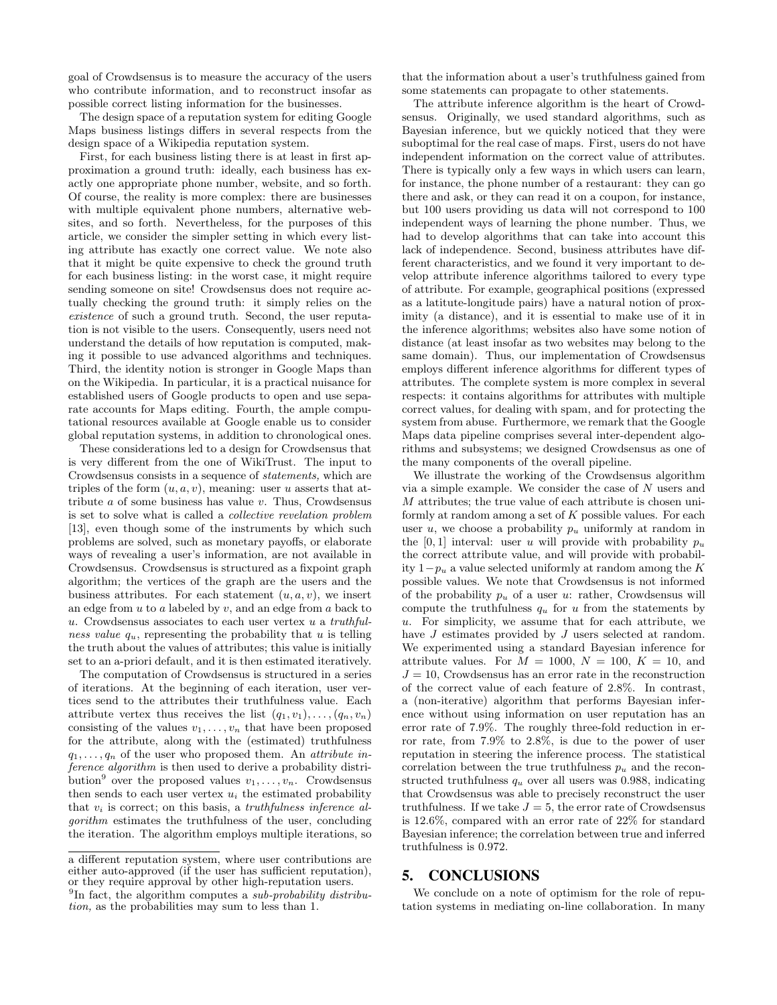goal of Crowdsensus is to measure the accuracy of the users who contribute information, and to reconstruct insofar as possible correct listing information for the businesses.

The design space of a reputation system for editing Google Maps business listings differs in several respects from the design space of a Wikipedia reputation system.

First, for each business listing there is at least in first approximation a ground truth: ideally, each business has exactly one appropriate phone number, website, and so forth. Of course, the reality is more complex: there are businesses with multiple equivalent phone numbers, alternative websites, and so forth. Nevertheless, for the purposes of this article, we consider the simpler setting in which every listing attribute has exactly one correct value. We note also that it might be quite expensive to check the ground truth for each business listing: in the worst case, it might require sending someone on site! Crowdsensus does not require actually checking the ground truth: it simply relies on the existence of such a ground truth. Second, the user reputation is not visible to the users. Consequently, users need not understand the details of how reputation is computed, making it possible to use advanced algorithms and techniques. Third, the identity notion is stronger in Google Maps than on the Wikipedia. In particular, it is a practical nuisance for established users of Google products to open and use separate accounts for Maps editing. Fourth, the ample computational resources available at Google enable us to consider global reputation systems, in addition to chronological ones.

These considerations led to a design for Crowdsensus that is very different from the one of WikiTrust. The input to Crowdsensus consists in a sequence of statements, which are triples of the form  $(u, a, v)$ , meaning: user u asserts that attribute  $a$  of some business has value  $v$ . Thus, Crowdsensus is set to solve what is called a collective revelation problem [13], even though some of the instruments by which such problems are solved, such as monetary payoffs, or elaborate ways of revealing a user's information, are not available in Crowdsensus. Crowdsensus is structured as a fixpoint graph algorithm; the vertices of the graph are the users and the business attributes. For each statement  $(u, a, v)$ , we insert an edge from  $u$  to  $a$  labeled by  $v$ , and an edge from  $a$  back to u. Crowdsensus associates to each user vertex  $u$  a truthfulness value  $q_u$ , representing the probability that u is telling the truth about the values of attributes; this value is initially set to an a-priori default, and it is then estimated iteratively.

The computation of Crowdsensus is structured in a series of iterations. At the beginning of each iteration, user vertices send to the attributes their truthfulness value. Each attribute vertex thus receives the list  $(q_1, v_1), \ldots, (q_n, v_n)$ consisting of the values  $v_1, \ldots, v_n$  that have been proposed for the attribute, along with the (estimated) truthfulness  $q_1, \ldots, q_n$  of the user who proposed them. An *attribute in*ference algorithm is then used to derive a probability distribution<sup>9</sup> over the proposed values  $v_1, \ldots, v_n$ . Crowdsensus then sends to each user vertex  $u_i$  the estimated probability that  $v_i$  is correct; on this basis, a *truthfulness inference al*gorithm estimates the truthfulness of the user, concluding the iteration. The algorithm employs multiple iterations, so that the information about a user's truthfulness gained from some statements can propagate to other statements.

The attribute inference algorithm is the heart of Crowdsensus. Originally, we used standard algorithms, such as Bayesian inference, but we quickly noticed that they were suboptimal for the real case of maps. First, users do not have independent information on the correct value of attributes. There is typically only a few ways in which users can learn, for instance, the phone number of a restaurant: they can go there and ask, or they can read it on a coupon, for instance, but 100 users providing us data will not correspond to 100 independent ways of learning the phone number. Thus, we had to develop algorithms that can take into account this lack of independence. Second, business attributes have different characteristics, and we found it very important to develop attribute inference algorithms tailored to every type of attribute. For example, geographical positions (expressed as a latitute-longitude pairs) have a natural notion of proximity (a distance), and it is essential to make use of it in the inference algorithms; websites also have some notion of distance (at least insofar as two websites may belong to the same domain). Thus, our implementation of Crowdsensus employs different inference algorithms for different types of attributes. The complete system is more complex in several respects: it contains algorithms for attributes with multiple correct values, for dealing with spam, and for protecting the system from abuse. Furthermore, we remark that the Google Maps data pipeline comprises several inter-dependent algorithms and subsystems; we designed Crowdsensus as one of the many components of the overall pipeline.

We illustrate the working of the Crowdsensus algorithm via a simple example. We consider the case of  $N$  users and  $M$  attributes; the true value of each attribute is chosen uniformly at random among a set of  $K$  possible values. For each user u, we choose a probability  $p_u$  uniformly at random in the [0,1] interval: user u will provide with probability  $p_u$ the correct attribute value, and will provide with probability  $1-p_u$  a value selected uniformly at random among the K possible values. We note that Crowdsensus is not informed of the probability  $p_u$  of a user u: rather, Crowdsensus will compute the truthfulness  $q_u$  for u from the statements by u. For simplicity, we assume that for each attribute, we have *J* estimates provided by *J* users selected at random. We experimented using a standard Bayesian inference for attribute values. For  $M = 1000$ ,  $N = 100$ ,  $K = 10$ , and  $J = 10$ , Crowdsensus has an error rate in the reconstruction of the correct value of each feature of 2.8%. In contrast, a (non-iterative) algorithm that performs Bayesian inference without using information on user reputation has an error rate of 7.9%. The roughly three-fold reduction in error rate, from 7.9% to 2.8%, is due to the power of user reputation in steering the inference process. The statistical correlation between the true truthfulness  $p_u$  and the reconstructed truthfulness  $q_u$  over all users was 0.988, indicating that Crowdsensus was able to precisely reconstruct the user truthfulness. If we take  $J = 5$ , the error rate of Crowdsensus is 12.6%, compared with an error rate of 22% for standard Bayesian inference; the correlation between true and inferred truthfulness is 0.972.

#### 5. CONCLUSIONS

We conclude on a note of optimism for the role of reputation systems in mediating on-line collaboration. In many

a different reputation system, where user contributions are either auto-approved (if the user has sufficient reputation), or they require approval by other high-reputation users. <sup>9</sup>In fact, the algorithm computes a *sub-probability distribu*tion, as the probabilities may sum to less than 1.